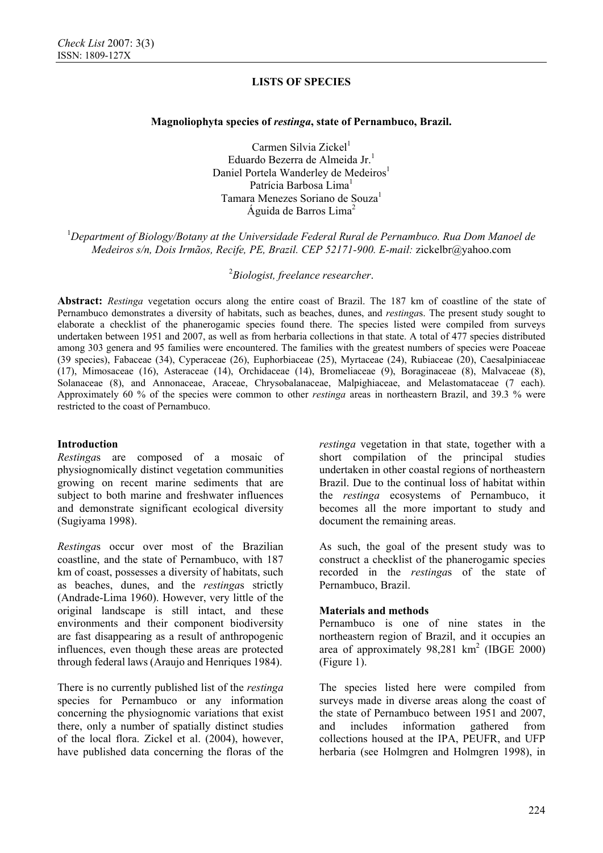### **Magnoliophyta species of** *restinga***, state of Pernambuco, Brazil.**

Carmen Silvia Zickel<sup>1</sup> Eduardo Bezerra de Almeida Jr.<sup>1</sup> Daniel Portela Wanderley de Medeiros<sup>1</sup> Patrícia Barbosa Lima<sup>1</sup> Tamara Menezes Soriano de Souza<sup>1</sup> Águida de Barros Lima2

<sup>1</sup>Department of Biology/Botany at the Universidade Federal Rural de Pernambuco. Rua Dom Manoel de *Medeiros s/n, Dois Irmãos, Recife, PE, Brazil. CEP 52171-900. E-mail:* zickelbr@yahoo.com

2 *Biologist, freelance researcher*.

**Abstract:** *Restinga* vegetation occurs along the entire coast of Brazil. The 187 km of coastline of the state of Pernambuco demonstrates a diversity of habitats, such as beaches, dunes, and *restinga*s. The present study sought to elaborate a checklist of the phanerogamic species found there. The species listed were compiled from surveys undertaken between 1951 and 2007, as well as from herbaria collections in that state. A total of 477 species distributed among 303 genera and 95 families were encountered. The families with the greatest numbers of species were Poaceae (39 species), Fabaceae (34), Cyperaceae (26), Euphorbiaceae (25), Myrtaceae (24), Rubiaceae (20), Caesalpiniaceae (17), Mimosaceae (16), Asteraceae (14), Orchidaceae (14), Bromeliaceae (9), Boraginaceae (8), Malvaceae (8), Solanaceae (8), and Annonaceae, Araceae, Chrysobalanaceae, Malpighiaceae, and Melastomataceae (7 each). Approximately 60 % of the species were common to other *restinga* areas in northeastern Brazil, and 39.3 % were restricted to the coast of Pernambuco.

## **Introduction**

*Restinga*s are composed of a mosaic of physiognomically distinct vegetation communities growing on recent marine sediments that are subject to both marine and freshwater influences and demonstrate significant ecological diversity (Sugiyama 1998).

*Restinga*s occur over most of the Brazilian coastline, and the state of Pernambuco, with 187 km of coast, possesses a diversity of habitats, such as beaches, dunes, and the *restinga*s strictly (Andrade-Lima 1960). However, very little of the original landscape is still intact, and these environments and their component biodiversity are fast disappearing as a result of anthropogenic influences, even though these areas are protected through federal laws (Araujo and Henriques 1984).

There is no currently published list of the *restinga* species for Pernambuco or any information concerning the physiognomic variations that exist there, only a number of spatially distinct studies of the local flora. Zickel et al. (2004), however, have published data concerning the floras of the *restinga* vegetation in that state, together with a short compilation of the principal studies undertaken in other coastal regions of northeastern Brazil. Due to the continual loss of habitat within the *restinga* ecosystems of Pernambuco, it becomes all the more important to study and document the remaining areas.

As such, the goal of the present study was to construct a checklist of the phanerogamic species recorded in the *restinga*s of the state of Pernambuco, Brazil.

## **Materials and methods**

Pernambuco is one of nine states in the northeastern region of Brazil, and it occupies an area of approximately 98,281 km<sup>2</sup> (IBGE 2000) (Figure 1).

The species listed here were compiled from surveys made in diverse areas along the coast of the state of Pernambuco between 1951 and 2007, and includes information gathered from collections housed at the IPA, PEUFR, and UFP herbaria (see Holmgren and Holmgren 1998), in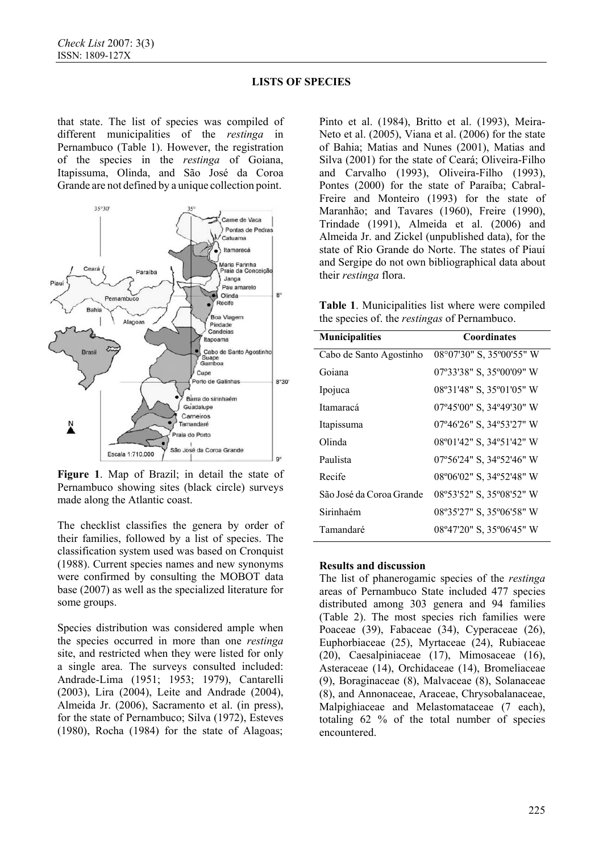that state. The list of species was compiled of different municipalities of the *restinga* in Pernambuco (Table 1). However, the registration of the species in the *restinga* of Goiana, Itapissuma, Olinda, and São José da Coroa Grande are not defined by a unique collection point.



**Figure 1**. Map of Brazil; in detail the state of Pernambuco showing sites (black circle) surveys made along the Atlantic coast.

The checklist classifies the genera by order of their families, followed by a list of species. The classification system used was based on Cronquist (1988). Current species names and new synonyms were confirmed by consulting the MOBOT data base (2007) as well as the specialized literature for some groups.

Species distribution was considered ample when the species occurred in more than one *restinga* site, and restricted when they were listed for only a single area. The surveys consulted included: Andrade-Lima (1951; 1953; 1979), Cantarelli (2003), Lira (2004), Leite and Andrade (2004), Almeida Jr. (2006), Sacramento et al. (in press), for the state of Pernambuco; Silva (1972), Esteves (1980), Rocha (1984) for the state of Alagoas;

Pinto et al. (1984), Britto et al. (1993), Meira-Neto et al. (2005), Viana et al. (2006) for the state of Bahia; Matias and Nunes (2001), Matias and Silva (2001) for the state of Ceará; Oliveira-Filho and Carvalho (1993), Oliveira-Filho (1993), Pontes (2000) for the state of Paraíba; Cabral-Freire and Monteiro (1993) for the state of Maranhão; and Tavares (1960), Freire (1990), Trindade (1991), Almeida et al. (2006) and Almeida Jr. and Zickel (unpublished data), for the state of Rio Grande do Norte. The states of Piauí and Sergipe do not own bibliographical data about their *restinga* flora.

**Table 1**. Municipalities list where were compiled the species of. the *restingas* of Pernambuco.

| <b>Municipalities</b>    | <b>Coordinates</b>       |
|--------------------------|--------------------------|
| Cabo de Santo Agostinho  | 08°07'30" S, 35°00'55" W |
| Goiana                   | 07°33'38" S, 35°00'09" W |
| Ipojuca                  | 08°31'48" S, 35°01'05" W |
| Itamaracá                | 07°45'00" S, 34°49'30" W |
| Itapissuma               | 07°46'26" S, 34°53'27" W |
| Olinda                   | 08°01'42" S, 34°51'42" W |
| Paulista                 | 07°56'24" S, 34°52'46" W |
| Recife                   | 08°06'02" S, 34°52'48" W |
| São José da Coroa Grande | 08°53'52" S, 35°08'52" W |
| Sirinhaém                | 08°35'27" S, 35°06'58" W |
| Tamandaré                | 08°47'20" S, 35°06'45" W |

### **Results and discussion**

The list of phanerogamic species of the *restinga* areas of Pernambuco State included 477 species distributed among 303 genera and 94 families (Table 2). The most species rich families were Poaceae (39), Fabaceae (34), Cyperaceae (26), Euphorbiaceae (25), Myrtaceae (24), Rubiaceae (20), Caesalpiniaceae (17), Mimosaceae (16), Asteraceae (14), Orchidaceae (14), Bromeliaceae (9), Boraginaceae (8), Malvaceae (8), Solanaceae (8), and Annonaceae, Araceae, Chrysobalanaceae, Malpighiaceae and Melastomataceae (7 each), totaling 62 % of the total number of species encountered.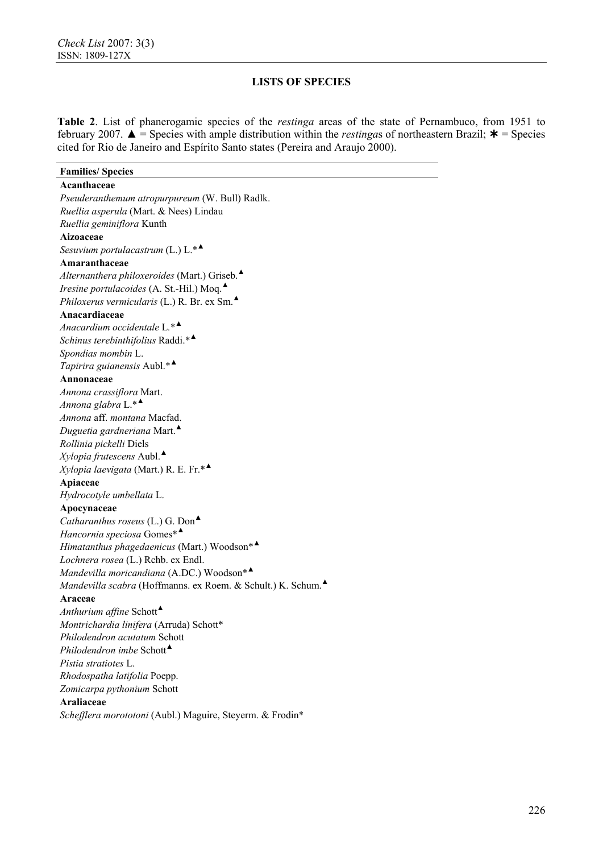**Table 2**. List of phanerogamic species of the *restinga* areas of the state of Pernambuco, from 1951 to february 2007.  $\triangle$  = Species with ample distribution within the *restingas* of northeastern Brazil;  $*$  = Species cited for Rio de Janeiro and Espírito Santo states (Pereira and Araujo 2000).

| <b>Families/Species</b>                                     |
|-------------------------------------------------------------|
| Acanthaceae                                                 |
| Pseuderanthemum atropurpureum (W. Bull) Radlk.              |
| Ruellia asperula (Mart. & Nees) Lindau                      |
| Ruellia geminiflora Kunth                                   |
| Aizoaceae                                                   |
| Sesuvium portulacastrum (L.) L.* <sup>4</sup>               |
| Amaranthaceae                                               |
| Alternanthera philoxeroides (Mart.) Griseb.                 |
| Iresine portulacoides (A. St.-Hil.) Moq.                    |
| Philoxerus vermicularis (L.) R. Br. ex Sm.                  |
| Anacardiaceae                                               |
| Anacardium occidentale $L^*$                                |
| Schinus terebinthifolius Raddi.* <sup>▲</sup>               |
| Spondias mombin L.                                          |
| Tapirira guianensis Aubl.* <sup>4</sup>                     |
| Annonaceae                                                  |
| Annona crassiflora Mart.                                    |
| Annona glabra $L^*$                                         |
| Annona aff. montana Macfad.                                 |
| Duguetia gardneriana Mart. $\triangle$                      |
| Rollinia pickelli Diels                                     |
| $Xylopia$ frutescens Aubl.                                  |
| Xylopia laevigata (Mart.) R. E. Fr.*                        |
| Apiaceae                                                    |
| Hydrocotyle umbellata L.                                    |
| Apocynaceae                                                 |
| Catharanthus roseus (L.) G. Don $\triangle$                 |
| Hancornia speciosa Gomes* <sup>4</sup>                      |
| Himatanthus phagedaenicus (Mart.) Woodson*                  |
| Lochnera rosea (L.) Rchb. ex Endl.                          |
| Mandevilla moricandiana (A.DC.) Woodson*                    |
| Mandevilla scabra (Hoffmanns. ex Roem. & Schult.) K. Schum. |
| Araceae                                                     |
| Anthurium affine Schott <sup>4</sup>                        |
| Montrichardia linifera (Arruda) Schott*                     |
| Philodendron acutatum Schott                                |
| Philodendron imbe Schott <sup>4</sup>                       |
| Pistia stratiotes L.                                        |
| Rhodospatha latifolia Poepp.                                |
| Zomicarpa pythonium Schott                                  |
| <b>Araliaceae</b>                                           |
| Schefflera morototoni (Aubl.) Maguire, Steyerm. & Frodin*   |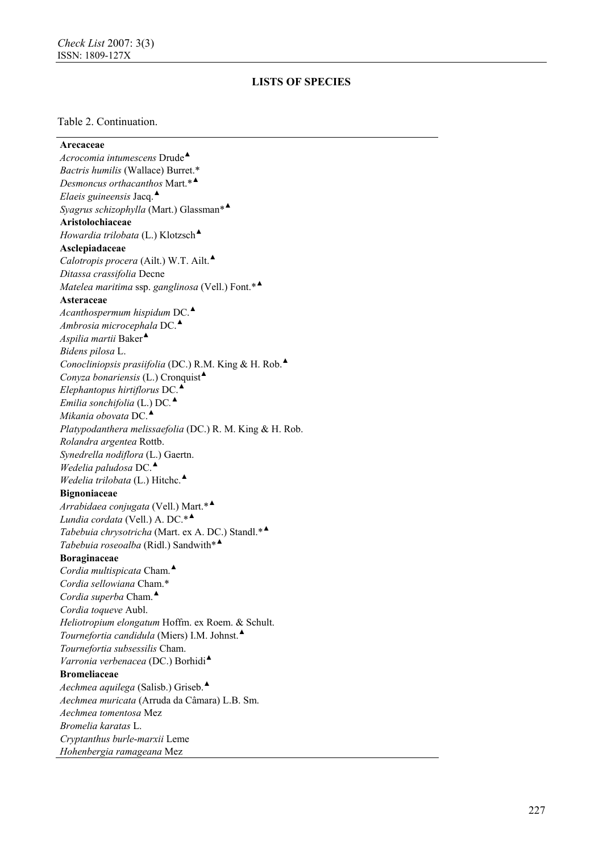#### Table 2. Continuation.

**Arecaceae** *Acrocomia intumescens* Drude ▲ *Bactris humilis* (Wallace) Burret.\* *Desmoncus orthacanthos* Mart.\* ▲ *Elaeis guineensis* Jacq. ▲ *Syagrus schizophylla* (Mart.) Glassman\* ▲ **Aristolochiaceae** *Howardia trilobata* (L.) Klotzsch ▲ **Asclepiadaceae** *Calotropis procera* (Ailt.) W.T. Ailt. ▲ *Ditassa crassifolia* Decne *Matelea maritima* ssp. *ganglinosa* (Vell.) Font.\* ▲ **Asteraceae**  *Acanthospermum hispidum* DC. ▲ *Ambrosia microcephala* DC. ▲ *Aspilia martii* Baker ▲ *Bidens pilosa* L. *Conocliniopsis prasiifolia* (DC.) R.M. King & H. Rob. ▲ *Conyza bonariensis* (L.) Cronquist ▲ *Elephantopus hirtiflorus* DC. ▲ *Emilia sonchifolia* (L.) DC *.* ▲ *Mikania obovata* DC. ▲ *Platypodanthera melissaefolia* (DC.) R. M. King & H. Rob. *Rolandra argentea* Rottb. *Synedrella nodiflora* (L.) Gaertn. *Wedelia paludosa* DC. ▲ *Wedelia trilobata* (L.) Hitchc. ▲ **Bignoniaceae**  *Arrabidaea conjugata* (Vell.) Mart.\* ▲ *Lundia cordata* (Vell.) A. DC.\* ▲ *Tabebuia chrysotricha* (Mart. ex A. DC.) Standl.\* ▲ *Tabebuia roseoalba* (Ridl.) Sandwith\* ▲ **Boraginaceae**  *Cordia multispicata* Cham. ▲ *Cordia sellowiana* Cham.\* *Cordia superba* Cham. ▲ *Cordia toqueve* Aubl. *Heliotropium elongatum* Hoffm. ex Roem. & Schult. *Tournefortia candidula* (Miers) I.M. Johnst. ▲ *Tournefortia subsessilis* Cham. *Varronia verbenacea* (DC.) Borhidi ▲ **Bromeliaceae** *Aechmea aquilega* (Salisb.) Griseb. ▲ *Aechmea muricata* (Arruda da Câmara) L.B. Sm. *Aechmea tomentosa* Mez *Bromelia karatas* L. *Cryptanthus burle* -*marxii* Leme *Hohenbergia ramageana* Mez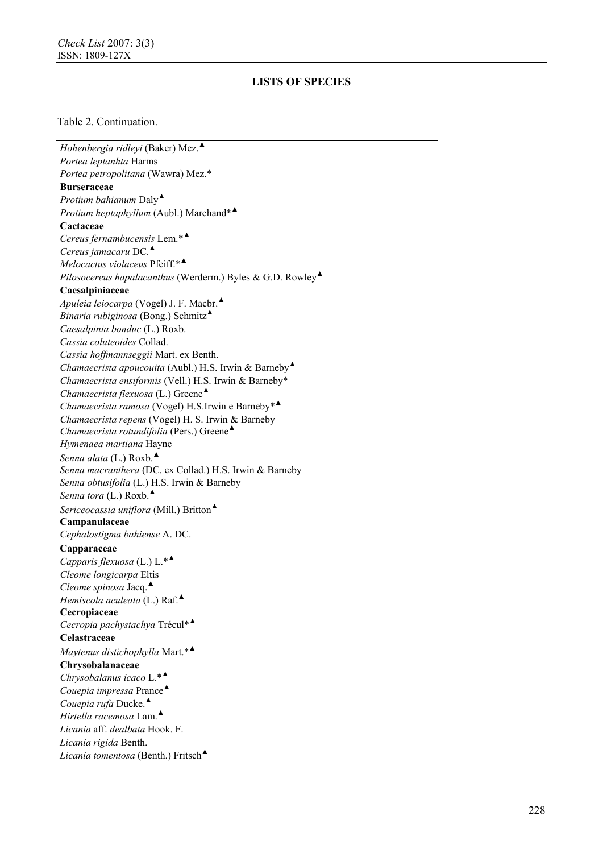### Table 2. Continuation.

*Hohenbergia ridleyi* (Baker) Mez. ▲ *Portea leptanhta* Harms *Portea petropolitana* (Wawra) Mez.\* **Burseraceae**  *Protium bahianum* Daly ▲ *Protium heptaphyllum* (Aubl.) Marchand\* ▲ **Cactaceae**  *Cereus fernambucensis* Lem.\* ▲ *Cereus jamacaru* DC. ▲ *Melocactus violaceus* Pfeiff.\* ▲ *Pilosocereus hapalacanthus* (Werderm.) Byles & G.D. Rowley ▲ **Caesalpiniaceae**  *Apuleia leiocarpa* (Vogel) J. F. Macbr. ▲ *Binaria rubiginosa* (Bong.) Schmitz ▲ *Caesalpinia bonduc* (L.) Roxb. *Cassia coluteoides* Collad. *Cassia hoffmannseggii* Mart. ex Benth. *Chamaecrista apoucouita* (Aubl.) H.S. Irwin & Barneby ▲ *Chamaecrista ensiformis* (Vell.) H.S. Irwin & Barneby\* *Chamaecrista flexuosa* (L.) Greene ▲ *Chamaecrista ramosa* (Vogel) H.S.Irwin e Barneby\* ▲ *Chamaecrista repens* (Vogel) H. S. Irwin & Barneby *Chamaecrista rotundifolia* (Pers.) Greene ▲ *Hymenaea martiana* Hayne *Senna alata* (L.) Roxb. ▲ *Senna macranthera* (DC. ex Collad.) H.S. Irwin & Barneby *Senna obtusifolia* (L.) H.S. Irwin & Barneby Senna tora (L.) Roxb.<sup>▲</sup> *Sericeocassia uniflora* (Mill.) Britton ▲ **Campanulaceae** *Cephalostigma bahiense* A. DC. **Capparaceae**  *Capparis flexuosa* (L.) L.\* ▲ *Cleome longicarpa* Eltis *Cleome spinosa* Jacq. ▲ *Hemiscola aculeata* (L.) Raf. ▲ **Cecropiaceae**  *Cecropia pachystachya* Trécul\* ▲ **Celastraceae**  *Maytenus distichophylla* Mart.\* ▲ **Chrysobalanaceae**  *Chrysobalanus icaco* L.\* ▲ *Couepia impressa* Prance ▲ *Couepia rufa* Ducke. ▲ *Hirtella racemosa* Lam. ▲ *Licania* aff. *dealbata* Hook. F. *Licania rigida* Benth. *Licania tomentosa* (Benth.) Fritsch ▲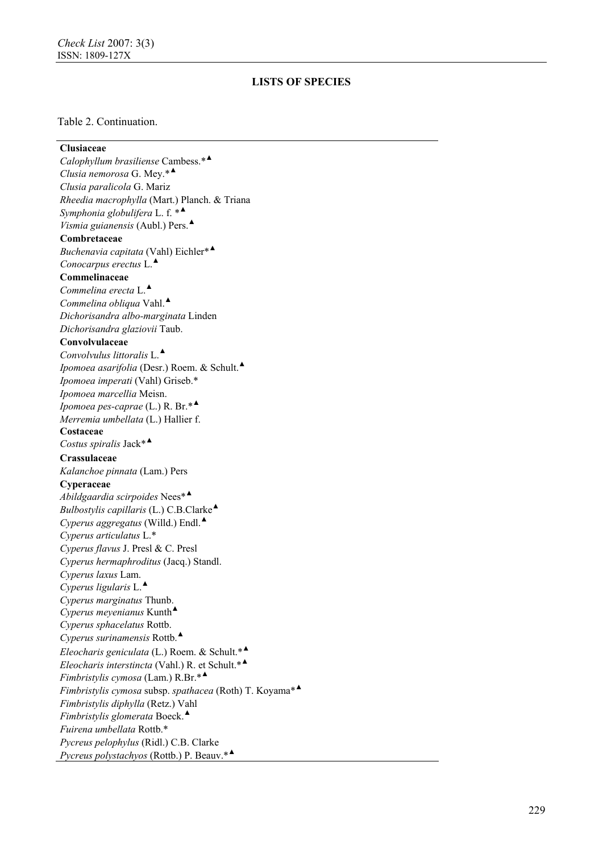## Table 2. Continuation.

### **Clusiaceae**

*Calophyllum brasiliense* Cambess.\* ▲ *Clusia nemorosa* G. Mey.\* ▲ *Clusia paralicola* G. Mariz *Rheedia macrophylla* (Mart.) Planch. & Triana *Symphonia globulifera* L. f. \* ▲ *Vismia guianensis* (Aubl.) Pers. ▲ **Combretaceae**  *Buchenavia capitata* (Vahl) Eichler\* ▲ *Conocarpus erectus* L. ▲ **Commelinaceae**  *Commelina erecta* L. ▲ *Commelina obliqua* Vahl. ▲ *Dichorisandra albo-marginata* Linden *Dichorisandra glaziovii* Taub. **Convolvulaceae**  *Convolvulus littoralis* L. ▲ *Ipomoea asarifolia* (Desr.) Roem. & Schult. ▲ *Ipomoea imperati* (Vahl) Griseb.\* *Ipomoea marcellia* Meisn. *Ipomoea pes-caprae* (L.) R. Br.\* ▲ *Merremia umbellata* (L.) Hallier f. **Costaceae**  *Costus spiralis* Jack\* ▲ **Crassulaceae** *Kalanchoe pinnata* (Lam.) Pers **Cyperaceae**  *Abildgaardia scirpoides* Nees\* ▲ *Bulbostylis capillaris* (L.) C.B.Clarke ▲ *Cyperus aggregatus* (Willd.) Endl. ▲ *Cyperus articulatus* L.\* *Cyperus flavus* J. Presl & C. Presl *Cyperus hermaphroditus* (Jacq.) Standl. *Cyperus laxus* Lam. *Cyperus ligularis* L. ▲ *Cyperus marginatus* Thunb. *Cyperus meyenianus* Kunth ▲ *Cyperus sphacelatus* Rottb. *Cyperus surinamensis* Rottb. ▲ *Eleocharis geniculata* (L.) Roem. & Schult.\* ▲ *Eleocharis interstincta* (Vahl.) R. et Schult.\* ▲ *Fimbristylis cymosa* (Lam.) R.Br.\* ▲ *Fimbristylis cymosa* subsp. *spathacea* (Roth) T. Koyama\* ▲ *Fimbristylis diphylla* (Retz.) Vahl *Fimbristylis glomerata* Boeck. ▲ *Fuirena umbellata* Rottb.\* *Pycreus pelophylus* (Ridl.) C.B. Clarke *Pycreus polystachyos* (Rottb.) P. Beauv.\* ▲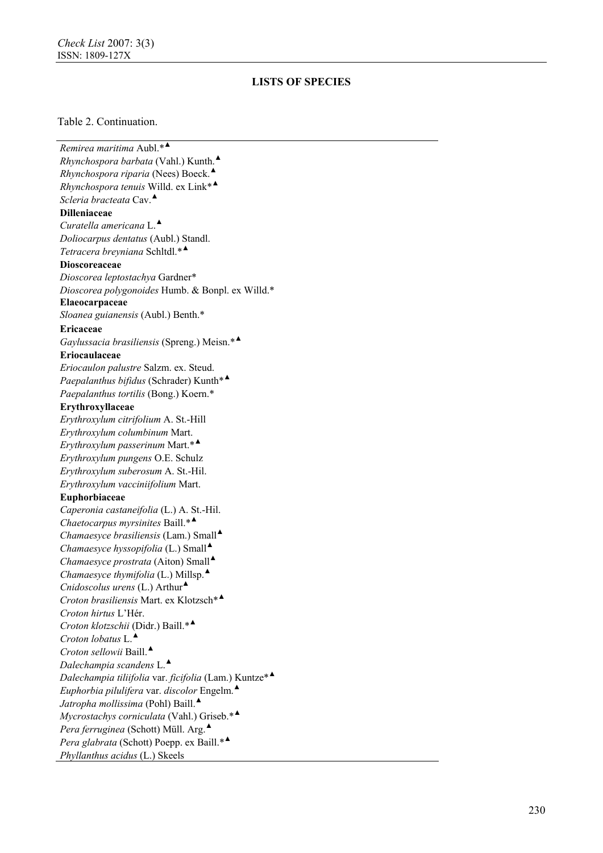### Table 2. Continuation.

*Remirea maritima* Aubl.\* ▲ *Rhynchospora barbata* (Vahl.) Kunth. ▲ *Rhynchospora riparia* (Nees) Boeck. ▲ *Rhynchospora tenuis* Willd. ex Link\* ▲ *Scleria bracteata* Cav. ▲ **Dilleniaceae**  *Curatella americana* L. ▲ *Doliocarpus dentatus* (Aubl.) Standl. *Tetracera breyniana* Schltdl.\* ▲ **Dioscoreaceae**  *Dioscorea leptostachya* Gardner\* *Dioscorea polygonoides* Humb. & Bonpl. ex Willd.\* **Elaeocarpaceae**  *Sloanea guianensis* (Aubl.) Benth.\* **Ericaceae** *Gaylussacia brasiliensis* (Spreng.) Meisn.\* ▲ **Eriocaulaceae**  *Eriocaulon palustre* Salzm. ex. Steud. *Paepalanthus bifidus* (Schrader) Kunth\* ▲ *Paepalanthus tortilis* (Bong.) Koern.\* **Erythroxyllaceae**  *Erythroxylum citrifolium* A. St.-Hill *Erythroxylum columbinum* Mart. *Erythroxylum passerinum* Mart.\* ▲ *Erythroxylum pungens* O.E. Schulz *Erythroxylum suberosum* A. St.-Hil. *Erythroxylum vacciniifolium* Mart. **Euphorbiaceae**  *Caperonia castaneifolia* (L.) A. St.-Hil. *Chaetocarpus myrsinites* Baill.\* ▲ *Chamaesyce brasiliensis* (Lam.) Small ▲ *Chamaesyce hyssopifolia* (L.) Small ▲ *Chamaesyce prostrata* (Aiton) Small ▲ *Chamaesyce thymifolia* (L.) Millsp. ▲ *Cnidoscolus urens* (L.) Arthur ▲ *Croton brasiliensis* Mart. ex Klotzsch\* ▲ *Croton hirtus* L'Hér. *Croton klotzschii* (Didr.) Baill.\* ▲ *Croton lobatus* L. ▲ *Croton sellowii* Baill. ▲ *Dalechampia scandens* L. ▲ *Dalechampia tiliifolia* var. *ficifolia* (Lam.) Kuntze\* ▲ *Euphorbia pilulifera* var. *discolor* Engelm. ▲ *Jatropha mollissima* (Pohl) Baill. ▲ *Mycrostachys corniculata* (Vahl.) Griseb.\* ▲ *Pera ferruginea* (Schott) Müll. Arg. ▲ *Pera glabrata* (Schott) Poepp. ex Baill.\* ▲ *Phyllanthus acidus* (L.) Skeels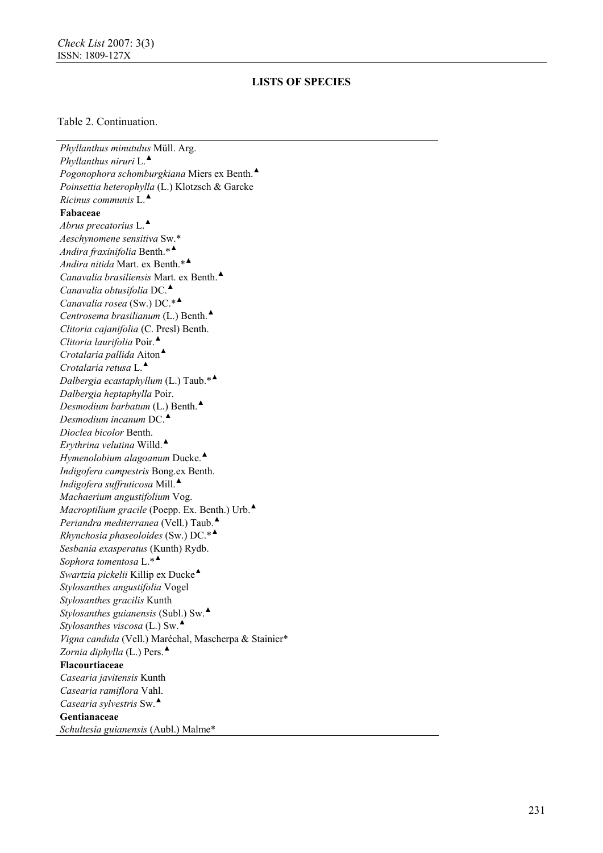## Table 2. Continuation.

*Phyllanthus minutulus* Müll. Arg. *Phyllanthus niruri* L. ▲ *Pogonophora schomburgkiana* Miers ex Benth. ▲ *Poinsettia heterophylla* (L.) Klotzsch & Garcke *Ricinus communis* L. ▲ **Fabaceae**  *Abrus precatorius* L. ▲ *Aeschynomene sensitiva* Sw.\* *Andira fraxinifolia* Benth.\* ▲ *Andira nitida* Mart. ex Benth.\* ▲ *Canavalia brasiliensis* Mart. ex Benth. ▲ *Canavalia obtusifolia* DC. ▲ *Canavalia rosea* (Sw.) DC.\* ▲ *Centrosema brasilianum* (L.) Benth. ▲ *Clitoria cajanifolia* (C. Presl) Benth. *Clitoria laurifolia* Poir. ▲ *Crotalaria pallida* Aiton ▲ *Crotalaria retusa* L. ▲ *Dalbergia ecastaphyllum* (L.) Taub.\* ▲ *Dalbergia heptaphylla* Poir. *Desmodium barbatum* (L.) Benth. ▲ *Desmodium incanum* DC. ▲ *Dioclea bicolor* Benth. *Erythrina velutina* Willd. ▲ *Hymenolobium alagoanum* Ducke. ▲ *Indigofera campestris* Bong.ex Benth. *Indigofera suffruticosa* Mill. ▲ *Machaerium angustifolium* Vog. *Macroptilium gracile* (Poepp. Ex. Benth.) Urb. ▲ *Periandra mediterranea* (Vell.) Taub. ▲ *Rhynchosia phaseoloides* (Sw.) DC.\* ▲ *Sesbania exasperatus* (Kunth) Rydb. *Sophora tomentosa* L.\* ▲ *Swartzia pickelii* Killip ex Ducke ▲ *Stylosanthes angustifolia* Vogel *Stylosanthes gracilis* Kunth *Stylosanthes guianensis* (Subl.) Sw. ▲ *Stylosanthes viscosa* (L.) Sw. ▲ *Vigna candida* (Vell.) Maréchal, Mascherpa & Stainier\* *Zornia diphylla* (L.) Pers. ▲ **Flacourtiaceae**  *Casearia javitensis* Kunth *Casearia ramiflora* Vahl. *Casearia sylvestris* Sw. ▲ **Gentianaceae**  *Schultesia guianensis* (Aubl.) Malme\*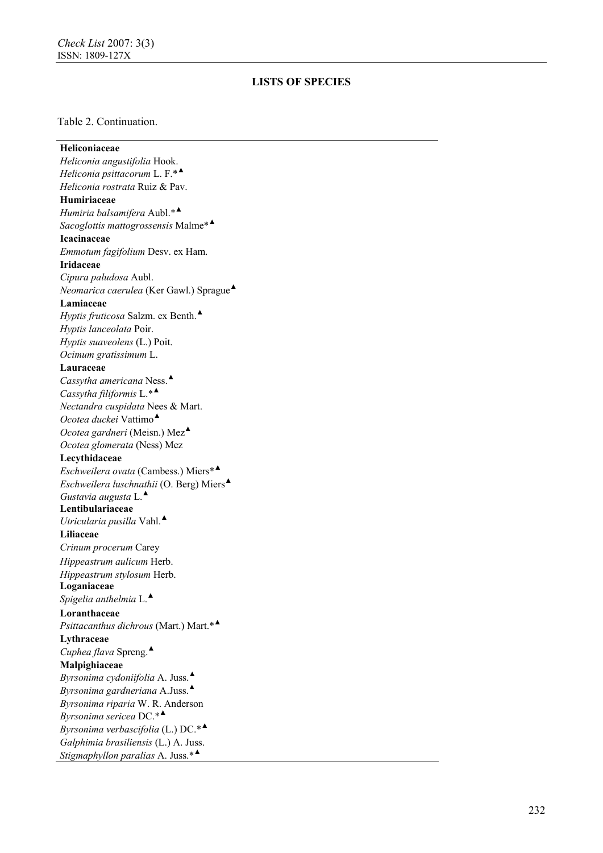## Table 2. Continuation.

| Heliconiaceae                                           |
|---------------------------------------------------------|
| Heliconia angustifolia Hook.                            |
| Heliconia psittacorum L. $F.*^{\blacktriangle}$         |
| Heliconia rostrata Ruiz & Pav.                          |
| Humiriaceae                                             |
| Humiria balsamifera Aubl.* <sup>4</sup>                 |
| Sacoglottis mattogrossensis Malme* <sup>4</sup>         |
| Icacinaceae                                             |
| Emmotum fagifolium Desv. ex Ham.                        |
| <b>Iridaceae</b>                                        |
| Cipura paludosa Aubl.                                   |
| Neomarica caerulea (Ker Gawl.) Sprague                  |
| Lamiaceae                                               |
| Hyptis fruticosa Salzm. ex Benth.                       |
| Hyptis lanceolata Poir.                                 |
| Hyptis suaveolens (L.) Poit.                            |
| Ocimum gratissimum L.                                   |
| Lauraceae                                               |
| Cassytha americana Ness.                                |
| Cassytha filiformis L.* <sup>4</sup>                    |
| Nectandra cuspidata Nees & Mart.                        |
| Ocotea duckei Vattimo <sup><math>\triangle</math></sup> |
| Ocotea gardneri (Meisn.) Mez <sup>4</sup>               |
| Ocotea glomerata (Ness) Mez                             |
| Lecythidaceae                                           |
| Eschweilera ovata (Cambess.) Miers*                     |
| Eschweilera luschnathii (O. Berg) Miers $\triangle$     |
| Gustavia augusta $L^{\blacktriangle}$                   |
| Lentibulariaceae                                        |
| Utricularia pusilla Vahl. $\triangle$                   |
| Liliaceae                                               |
| Crinum procerum Carey                                   |
| Hippeastrum aulicum Herb.                               |
| Hippeastrum stylosum Herb.                              |
| Loganiaceae                                             |
| Spigelia anthelmia $L$ .                                |
| Loranthaceae                                            |
| Psittacanthus dichrous (Mart.) Mart.*                   |
| Lythraceae                                              |
| Cuphea flava Spreng. $\triangle$                        |
| Malpighiaceae                                           |
| Byrsonima cydoniifolia A. Juss.                         |
| Byrsonima gardneriana A.Juss. $\triangle$               |
| Byrsonima riparia W. R. Anderson                        |
| Byrsonima sericea $DC.*^{\blacktriangle}$               |
| Byrsonima verbascifolia (L.) DC.* <sup>4</sup>          |
| Galphimia brasiliensis (L.) A. Juss.                    |
| Stigmaphyllon paralias A. Juss. <sup>*▲</sup>           |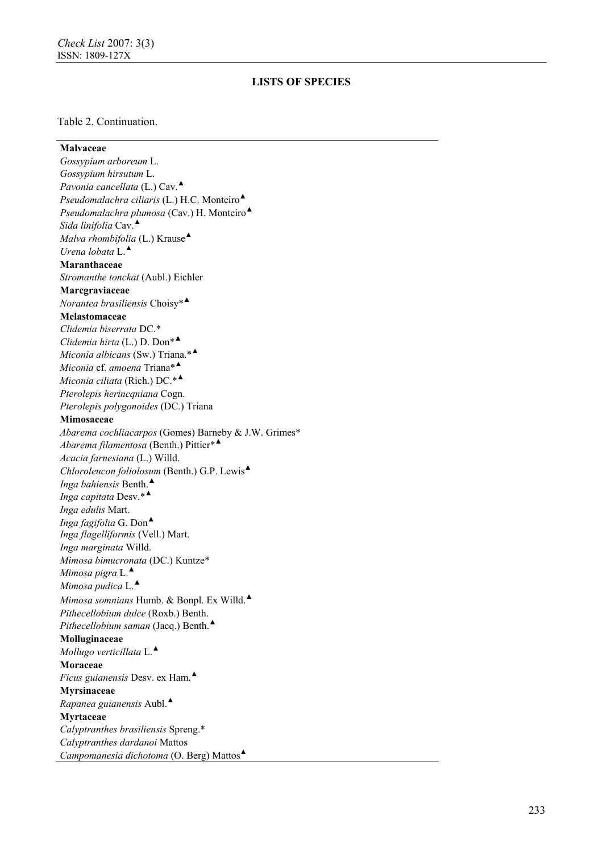### Table 2. Continuation.

**Malvaceae**  *Gossypium arboreum* L. *Gossypium hirsutum* L. *Pavonia cancellata* (L.) Cav. ▲ *Pseudomalachra ciliaris* (L.) H.C. Monteiro ▲ *Pseudomalachra plumosa* (Cav.) H. Monteiro ▲ *Sida linifolia* Cav. ▲ *Malva rhombifolia* (L.) Krause ▲ *Urena lobata* L. ▲ **Maranthaceae**  *Stromanthe tonckat* (Aubl.) Eichler **Marcgraviaceae**  *Norantea brasiliensis* Choisy\* ▲ **Melastomaceae**  *Clidemia biserrata* DC.\* *Clidemia hirta* (L.) D. Don\* ▲ *Miconia albicans* (Sw.) Triana.\* ▲ *Miconia* cf. *amoena* Triana\* ▲ *Miconia ciliata* (Rich.) DC.\* ▲ *Pterolepis herincqniana* Cogn. *Pterolepis polygonoides* (DC.) Triana **Mimosaceae**  *Abarema cochliacarpos* (Gomes) Barneby & J.W. Grimes\* *Abarema filamentosa* (Benth.) Pittier\* ▲ *Acacia farnesiana* (L.) Willd. *Chloroleucon foliolosum* (Benth.) G.P. Lewis ▲ *Inga bahiensis* Benth. ▲ *Inga capitata* Desv.\* ▲ *Inga edulis* Mart. *Inga fagifolia* G. Don ▲ *Inga flagelliformis* (Vell.) Mart. *Inga marginata* Willd. *Mimosa bimucronata* (DC.) Kuntze\* *Mimosa pigra* L. ▲ *Mimosa pudica* L. ▲ *Mimosa somnians* Humb. & Bonpl. Ex Willd. ▲ *Pithecellobium dulce* (Roxb.) Benth. *Pithecellobium saman* (Jacq.) Benth. ▲ **Molluginaceae**  *Mollugo verticillata* L. ▲ **Moraceae** *Ficus guianensis* Desv. ex Ham. ▲ **Myrsinaceae**  *Rapanea guianensis* Aubl. ▲ **Myrtaceae**  *Calyptranthes brasiliensis* Spreng.\* *Calyptranthes dardanoi* Mattos *Campomanesia dichotoma* (O. Berg) Mattos ▲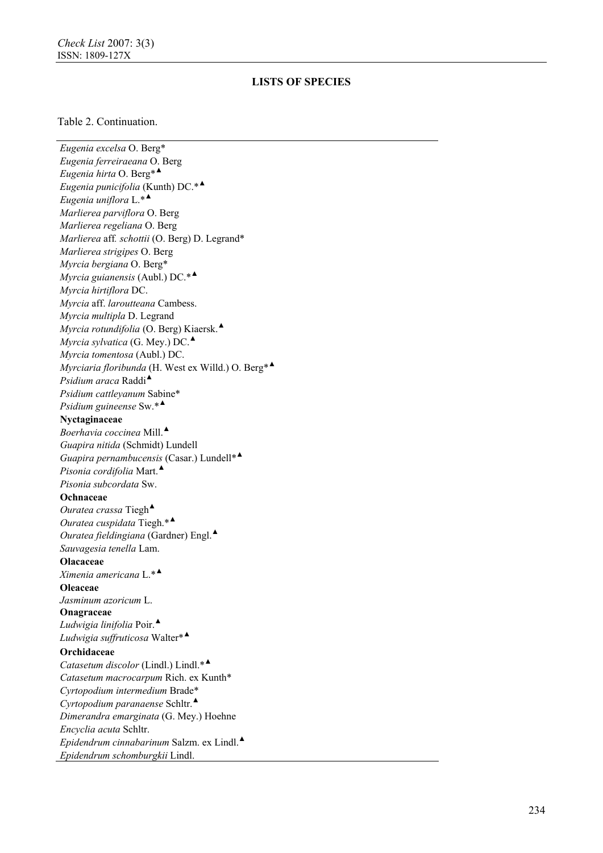### Table 2. Continuation.

*Eugenia excelsa* O. Berg\* *Eugenia ferreiraeana* O. Berg *Eugenia hirta* O. Berg\* ▲ *Eugenia punicifolia* (Kunth) DC.\* ▲ *Eugenia uniflora* L.\* ▲ *Marlierea parviflora* O. Berg *Marlierea regeliana* O. Berg *Marlierea* aff*. schottii* (O. Berg) D. Legrand\* *Marlierea strigipes* O. Berg *Myrcia bergiana* O. Berg\* *Myrcia guianensis* (Aubl.) DC.\* ▲ *Myrcia hirtiflora* DC. *Myrcia* aff. *laroutteana* Cambess. *Myrcia multipla* D. Legrand *Myrcia rotundifolia* (O. Berg) Kiaersk. ▲ *Myrcia sylvatica* (G. Mey.) DC. ▲ *Myrcia tomentosa* (Aubl.) DC. *Myrciaria floribunda* (H. West ex Willd.) O. Berg\* ▲ *Psidium araca* Raddi ▲ *Psidium cattleyanum* Sabine\* *Psidium guineense* Sw.\* ▲ **Nyctaginaceae**  *Boerhavia coccinea* Mill. ▲ *Guapira nitida* (Schmidt) Lundell *Guapira pernambucensis* (Casar.) Lundell\* ▲ *Pisonia cordifolia* Mart. ▲ *Pisonia subcordata* Sw. **Ochnaceae**  *Ouratea crassa* Tiegh ▲ *Ouratea cuspidata* Tiegh.\* ▲ *Ouratea fieldingiana* (Gardner) Engl. ▲ *Sauvagesia tenella* Lam. **Olacaceae**  *Ximenia americana* L.\* ▲ **Oleaceae** *Jasminum azoricum* L. **Onagraceae**  *Ludwigia linifolia* Poir. ▲ *Ludwigia suffruticosa* Walter\* ▲ **Orchidaceae**  *Catasetum discolor* (Lindl.) Lindl.\* ▲ *Catasetum macrocarpum* Rich. ex Kunth\* *Cyrtopodium intermedium* Brade\* *Cyrtopodium paranaense* Schltr. ▲ *Dimerandra emarginata* (G. Mey.) Hoehne *Encyclia acuta* Schltr. *Epidendrum cinnabarinum* Salzm. ex Lindl. ▲ *Epidendrum schomburgkii* Lindl.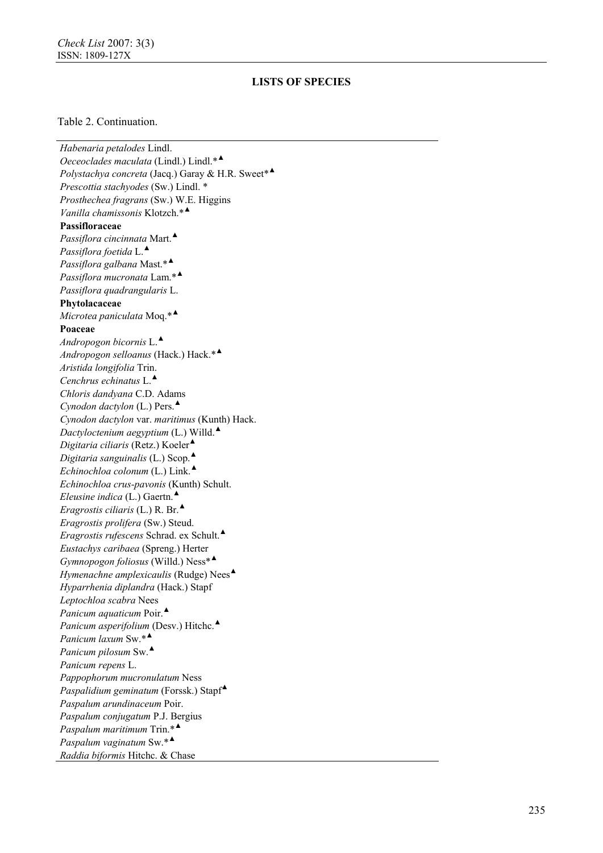### Table 2. Continuation.

*Habenaria petalodes* Lindl. *Oeceoclades maculata* (Lindl.) Lindl.\* ▲ *Polystachya concreta* (Jacq.) Garay & H.R. Sweet\* ▲ *Prescottia stachyodes* (Sw.) Lindl. \* *Prosthechea fragrans* (Sw.) W.E. Higgins *Vanilla chamissonis* Klotzch.\* ▲ **Passifloraceae**  *Passiflora cincinnata* Mart. ▲ *Passiflora foetida* L. ▲ *Passiflora galbana* Mast.\* ▲ *Passiflora mucronata* Lam.\* ▲ *Passiflora quadrangularis* L. **Phytolacaceae** *Microtea paniculata* Moq.\* ▲ **Poaceae**  *Andropogon bicornis* L. ▲ *Andropogon selloanus* (Hack.) Hack.\* ▲ *Aristida longifolia* Trin. *Cenchrus echinatus* L. ▲ *Chloris dandyana* C.D. Adams *Cynodon dactylon* (L.) Pers. ▲ *Cynodon dactylon* var. *maritimus* (Kunth) Hack. *Dactyloctenium aegyptium* (L.) Willd. ▲ *Digitaria ciliaris* (Retz.) Koeler ▲ *Digitaria sanguinalis* (L.) Scop. ▲ *Echinochloa colonum* (L.) Link. ▲ *Echinochloa crus-pavonis* (Kunth) Schult. *Eleusine indica* (L.) Gaertn. ▲ *Eragrostis ciliaris* (L.) R. Br. ▲ *Eragrostis prolifera* (Sw.) Steud. *Eragrostis rufescens* Schrad. ex Schult. ▲ *Eustachys caribaea* (Spreng.) Herter *Gymnopogon foliosus* (Willd.) Ness\* ▲ *Hymenachne amplexicaulis* (Rudge) Nees ▲ *Hyparrhenia diplandra* (Hack.) Stapf *Leptochloa scabra* Nees *Panicum aquaticum* Poir.<sup>▲</sup> *Panicum asperifolium* (Desv.) Hitchc. ▲ *Panicum laxum* Sw.\* ▲ *Panicum pilosum* Sw. ▲ *Panicum repens* L. *Pappophorum mucronulatum* Ness *Paspalidium geminatum* (Forssk.) Stapf▲ *Paspalum arundinaceum* Poir. *Paspalum conjugatum* P.J. Bergius *Paspalum maritimum* Trin.\* ▲ *Paspalum vaginatum* Sw.\* ▲ *Raddia biformis* Hitchc. & Chase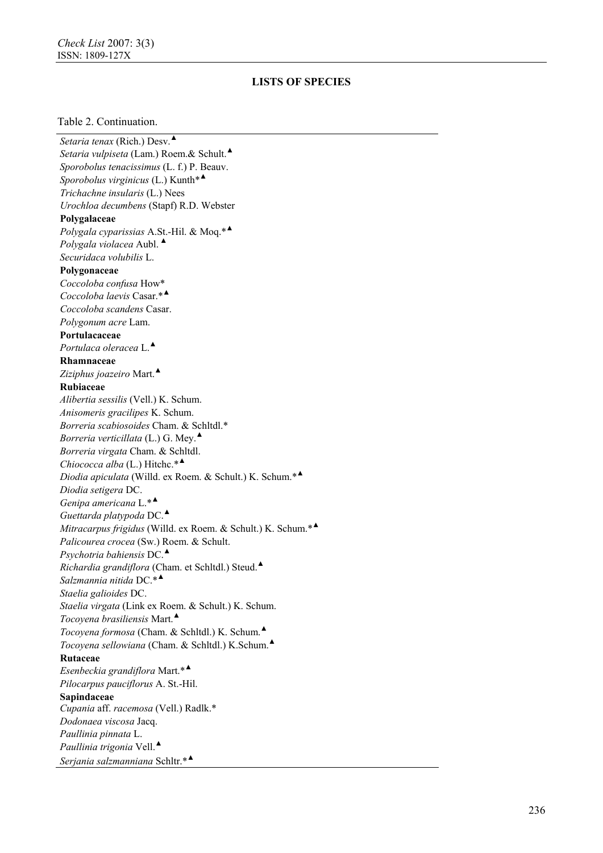#### Table 2. Continuation.

*Setaria tenax* (Rich.) Desv. ▲ *Setaria vulpiseta* (Lam.) Roem.& Schult. ▲ *Sporobolus tenacissimus* (L. f.) P. Beauv. *Sporobolus virginicus* (L.) Kunth\* ▲ *Trichachne insularis* (L.) Nees *Urochloa decumbens* (Stapf) R.D. Webster **Polygalaceae**  *Polygala cyparissias* A.St.-Hil. & Moq.\* ▲ *Polygala violacea* Aubl. ▲ *Securidaca volubilis* L. **Polygonaceae**  *Coccoloba confusa* How\* *Coccoloba laevis* Casar.\* ▲ *Coccoloba scandens* Casar. *Polygonum acre* Lam. **Portulacaceae** *Portulaca oleracea* L. ▲ **Rhamnaceae** *Ziziphus joazeiro* Mart. ▲ **Rubiaceae**  *Alibertia sessilis* (Vell.) K. Schum. *Anisomeris gracilipes* K. Schum. *Borreria scabiosoides* Cham. & Schltdl.\* *Borreria verticillata* (L.) G. Mey. ▲ *Borreria virgata* Cham. & Schltdl. *Chiococca alba* (L.) Hitchc.\* ▲ *Diodia apiculata* (Willd. ex Roem. & Schult.) K. Schum.\* ▲ *Diodia setigera* DC. *Genipa americana* L.\* ▲ *Guettarda platypoda* DC. ▲ *Mitracarpus frigidus* (Willd. ex Roem. & Schult.) K. Schum.\* ▲ *Palicourea crocea* (Sw.) Roem. & Schult. *Psychotria bahiensis* DC. ▲ *Richardia grandiflora* (Cham. et Schltdl.) Steud. ▲ *Salzmannia nitida* DC.\* ▲ *Staelia galioides* DC. *Staelia virgata* (Link ex Roem. & Schult.) K. Schum. *Tocoyena brasiliensis* Mart. ▲ *Tocoyena formosa* (Cham. & Schltdl.) K. Schum. ▲ *Tocoyena sellowiana* (Cham. & Schltdl.) K.Schum. ▲ **Rutaceae**  *Esenbeckia grandiflora* Mart.\* ▲ *Pilocarpus pauciflorus* A. St.-Hil. **Sapindaceae**  *Cupania* aff. *racemosa* (Vell.) Radlk.\* *Dodonaea viscosa* Jacq. *Paullinia pinnata* L. *Paullinia trigonia* Vell. ▲ *Serjania salzmanniana* Schltr.\* ▲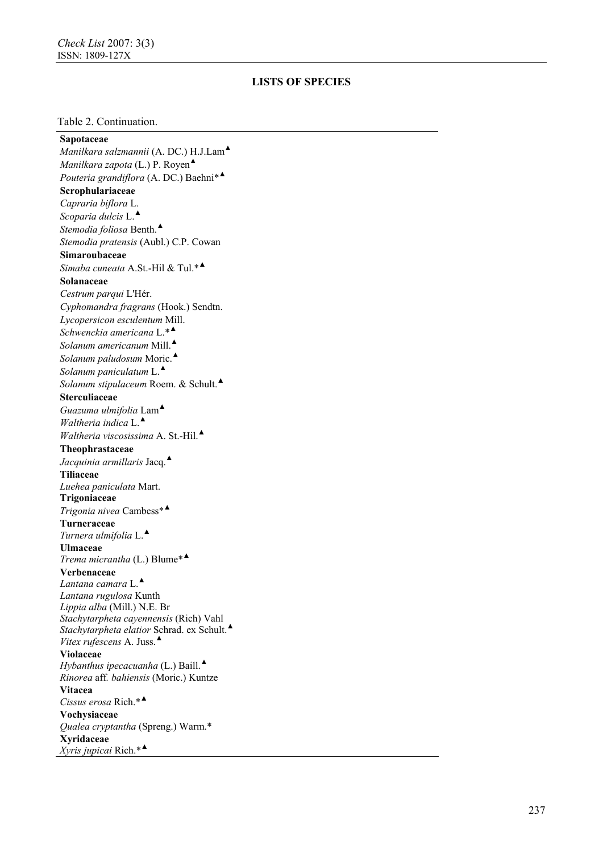#### Table 2. Continuation.

**Sapotaceae**  *Manilkara salzmannii* (A. DC.) H.J.Lam ▲ *Manilkara zapota* (L.) P. Royen ▲ *Pouteria grandiflora* (A. DC.) Baehni\* ▲ **Scrophulariaceae**  *Capraria biflora* L. *Scoparia dulcis* L. ▲ *Stemodia foliosa* Benth. ▲ *Stemodia pratensis* (Aubl.) C.P. Cowan **Simaroubaceae**  *Simaba cuneata* A.St.-Hil & Tul.\* ▲ **Solanaceae**  *Cestrum parqui* L'Hér. *Cyphomandra fragrans* (Hook.) Sendtn. *Lycopersicon esculentum* Mill. *Schwenckia americana* L.\* ▲ *Solanum americanum* Mill. ▲ *Solanum paludosum* Moric. ▲ *Solanum paniculatum* L. ▲ *Solanum stipulaceum* Roem. & Schult. ▲ **Sterculiaceae**  *Guazuma ulmifolia* Lam ▲ *Waltheria indica* L. ▲ *Waltheria viscosissima* A. St.-Hil. ▲ **Theophrastaceae** *Jacquinia armillaris* Jacq. ▲ **Tiliaceae** *Luehea paniculata* Mart. **Trigoniaceae** *Trigonia nivea* Cambess\* ▲ **Turneraceae**  *Turnera ulmifolia* L. ▲ **Ulmaceae**  *Trema micrantha* (L.) Blume\* ▲ **Verbenaceae**  *Lantana camara* L. ▲ *Lantana ru gulosa* Kunth *Lippia alba* (Mill.) N.E. B r *Stachytarpheta cayennensis* (Rich) Vahl Stachytarpheta elatior Schrad. ex Schult.<sup>4</sup> *Vitex rufescens* A. Juss. ▲ **Violaceae**  *Hybanthus ipecacuanha* (L.) Baill. ▲ *Rinorea* aff*. bahiensis* (Moric.) Kuntze **Vitacea**  *Cissus erosa* Rich.\* ▲ **Vochysiaceae**  *Qualea cryptantha* (Spren g.) Warm.\* **Xyridaceae** *Xyris jupicai* Rich.\* ▲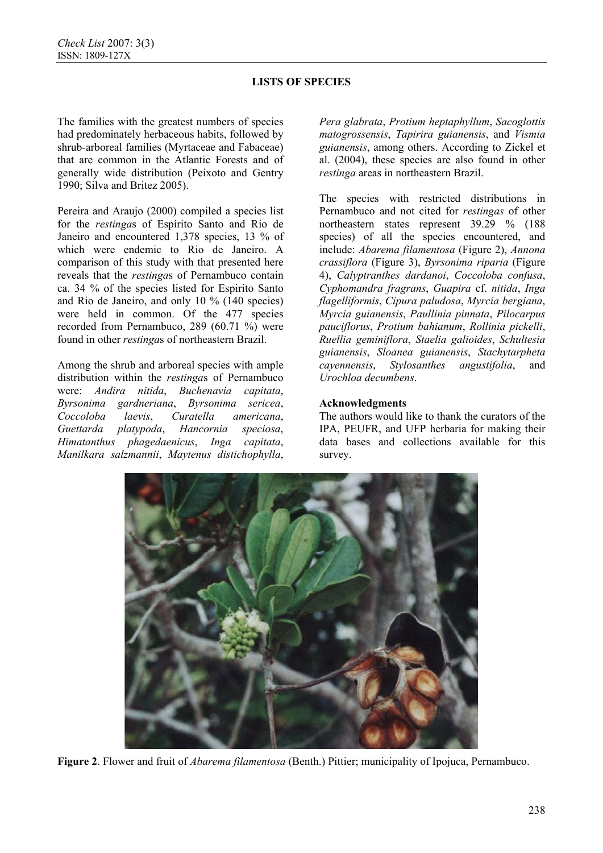The families with the greatest numbers of species had predominately herbaceous habits, followed by shrub-arboreal families (Myrtaceae and Fabaceae) that are common in the Atlantic Forests and of generally wide distribution (Peixoto and Gentry 1990; Silva and Britez 2005).

Pereira and Araujo (2000) compiled a species list for the *restinga*s of Espírito Santo and Rio de Janeiro and encountered 1,378 species, 13 % of which were endemic to Rio de Janeiro. A comparison of this study with that presented here reveals that the *restinga*s of Pernambuco contain ca. 34 % of the species listed for Espirito Santo and Rio de Janeiro, and only 10 % (140 species) were held in common. Of the 477 species recorded from Pernambuco, 289 (60.71 %) were found in other *restinga*s of northeastern Brazil.

Among the shrub and arboreal species with ample distribution within the *restinga*s of Pernambuco were: *Andira nitida*, *Buchenavia capitata*, *Byrsonima gardneriana*, *Byrsonima sericea*, *Coccoloba laevis*, *Curatella americana*, *Guettarda platypoda*, *Hancornia speciosa*, *Himatanthus phagedaenicus*, *Inga capitata*, *Manilkara salzmannii*, *Maytenus distichophylla*,

*Pera glabrata*, *Protium heptaphyllum*, *Sacoglottis matogrossensis*, *Tapirira guianensis*, and *Vismia guianensis*, among others. According to Zickel et al. (2004), these species are also found in other *restinga* areas in northeastern Brazil.

The species with restricted distributions in Pernambuco and not cited for *restingas* of other northeastern states represent 39.29 % (188 species) of all the species encountered, and include: *Abarema filamentosa* (Figure 2), *Annona crassiflora* (Figure 3), *Byrsonima riparia* (Figure 4), *Calyptranthes dardanoi*, *Coccoloba confusa*, *Cyphomandra fragrans*, *Guapira* cf. *nitida*, *Inga flagelliformis*, *Cipura paludosa*, *Myrcia bergiana*, *Myrcia guianensis*, *Paullinia pinnata*, *Pilocarpus pauciflorus*, *Protium bahianum*, *Rollinia pickelli*, *Ruellia geminiflora*, *Staelia galioides*, *Schultesia guianensis*, *Sloanea guianensis*, *Stachytarpheta cayennensis*, *Stylosanthes angustifolia*, and *Urochloa decumbens*.

## **Acknowledgments**

The authors would like to thank the curators of the IPA, PEUFR, and UFP herbaria for making their data bases and collections available for this survey.



**Figure 2**. Flower and fruit of *Abarema filamentosa* (Benth.) Pittier; municipality of Ipojuca, Pernambuco.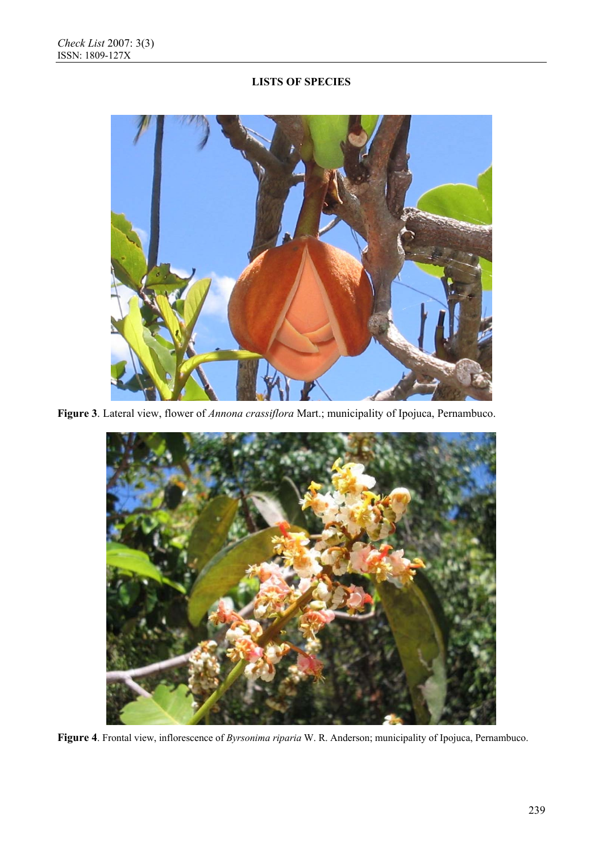

**Figure 3**. Lateral view, flower of *Annona crassiflora* Mart.; municipality of Ipojuca, Pernambuco.



**Figure 4**. Frontal view, inflorescence of *Byrsonima riparia* W. R. Anderson; municipality of Ipojuca, Pernambuco.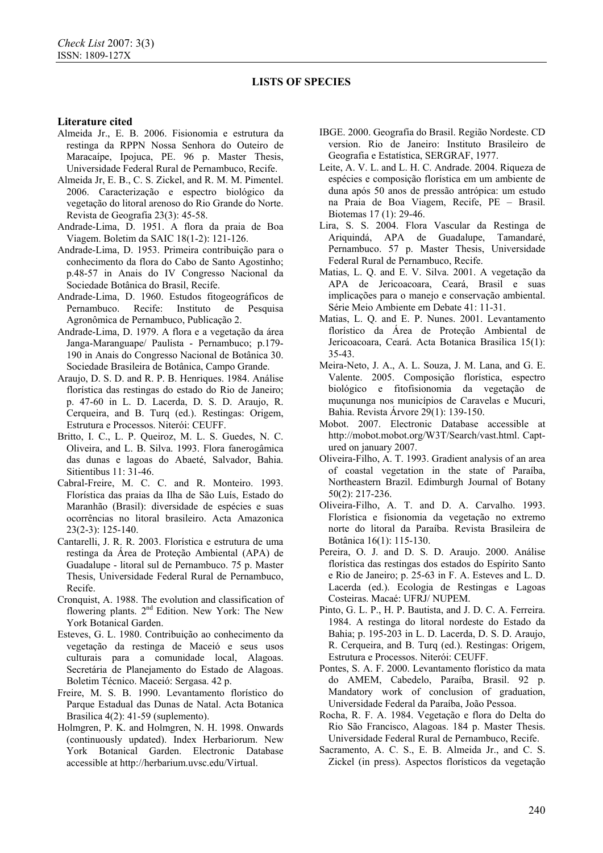### **Literature cited**

- Almeida Jr., E. B. 2006. Fisionomia e estrutura da restinga da RPPN Nossa Senhora do Outeiro de Maracaípe, Ipojuca, PE. 96 p. Master Thesis, Universidade Federal Rural de Pernambuco, Recife.
- Almeida Jr, E. B., C. S. Zickel, and R. M. M. Pimentel. 2006. Caracterização e espectro biológico da vegetação do litoral arenoso do Rio Grande do Norte. Revista de Geografia 23(3): 45-58.
- Andrade-Lima, D. 1951. A flora da praia de Boa Viagem. Boletim da SAIC 18(1-2): 121-126.
- Andrade-Lima, D. 1953. Primeira contribuição para o conhecimento da flora do Cabo de Santo Agostinho; p.48-57 in Anais do IV Congresso Nacional da Sociedade Botânica do Brasil, Recife.
- Andrade-Lima, D. 1960. Estudos fitogeográficos de Pernambuco. Recife: Instituto de Pesquisa Agronômica de Pernambuco, Publicação 2.
- Andrade-Lima, D. 1979. A flora e a vegetação da área Janga-Maranguape/ Paulista - Pernambuco; p.179- 190 in Anais do Congresso Nacional de Botânica 30. Sociedade Brasileira de Botânica, Campo Grande.
- Araujo, D. S. D. and R. P. B. Henriques. 1984. Análise florística das restingas do estado do Rio de Janeiro; p. 47-60 in L. D. Lacerda, D. S. D. Araujo, R. Cerqueira, and B. Turq (ed.). Restingas: Origem, Estrutura e Processos. Niterói: CEUFF.
- Britto, I. C., L. P. Queiroz, M. L. S. Guedes, N. C. Oliveira, and L. B. Silva. 1993. Flora fanerogâmica das dunas e lagoas do Abaeté, Salvador, Bahia. Sitientibus 11: 31-46.
- Cabral-Freire, M. C. C. and R. Monteiro. 1993. Florística das praias da Ilha de São Luís, Estado do Maranhão (Brasil): diversidade de espécies e suas ocorrências no litoral brasileiro. Acta Amazonica 23(2-3): 125-140.
- Cantarelli, J. R. R. 2003. Florística e estrutura de uma restinga da Área de Proteção Ambiental (APA) de Guadalupe - litoral sul de Pernambuco. 75 p. Master Thesis, Universidade Federal Rural de Pernambuco, Recife.
- Cronquist, A. 1988. The evolution and classification of flowering plants. 2<sup>nd</sup> Edition. New York: The New York Botanical Garden.
- Esteves, G. L. 1980. Contribuição ao conhecimento da vegetação da restinga de Maceió e seus usos culturais para a comunidade local, Alagoas. Secretária de Planejamento do Estado de Alagoas. Boletim Técnico. Maceió: Sergasa. 42 p.
- Freire, M. S. B. 1990. Levantamento florístico do Parque Estadual das Dunas de Natal. Acta Botanica Brasilica 4(2): 41-59 (suplemento).
- Holmgren, P. K. and Holmgren, N. H. 1998. Onwards (continuously updated). Index Herbariorum. New York Botanical Garden. Electronic Database accessible at http://herbarium.uvsc.edu/Virtual.
- IBGE. 2000. Geografia do Brasil. Região Nordeste. CD version. Rio de Janeiro: Instituto Brasileiro de Geografia e Estatística, SERGRAF, 1977.
- Leite, A. V. L. and L. H. C. Andrade. 2004. Riqueza de espécies e composição florística em um ambiente de duna após 50 anos de pressão antrópica: um estudo na Praia de Boa Viagem, Recife, PE – Brasil. Biotemas 17 (1): 29-46.
- Lira, S. S. 2004. Flora Vascular da Restinga de Ariquindá, APA de Guadalupe, Tamandaré, Pernambuco. 57 p. Master Thesis, Universidade Federal Rural de Pernambuco, Recife.
- Matias, L. Q. and E. V. Silva. 2001. A vegetação da APA de Jericoacoara, Ceará, Brasil e suas implicações para o manejo e conservação ambiental. Série Meio Ambiente em Debate 41: 11-31.
- Matias, L. Q. and E. P. Nunes. 2001. Levantamento florístico da Área de Proteção Ambiental de Jericoacoara, Ceará. Acta Botanica Brasilica 15(1): 35-43.
- Meira-Neto, J. A., A. L. Souza, J. M. Lana, and G. E. Valente. 2005. Composição florística, espectro biológico e fitofisionomia da vegetação de muçununga nos municípios de Caravelas e Mucuri, Bahia. Revista Árvore 29(1): 139-150.
- Mobot. 2007. Electronic Database accessible at http://mobot.mobot.org/W3T/Search/vast.html. Captured on january 2007.
- Oliveira-Filho, A. T. 1993. Gradient analysis of an area of coastal vegetation in the state of Paraíba, Northeastern Brazil. Edimburgh Journal of Botany 50(2): 217-236.
- Oliveira-Filho, A. T. and D. A. Carvalho. 1993. Florística e fisionomia da vegetação no extremo norte do litoral da Paraíba. Revista Brasileira de Botânica 16(1): 115-130.
- Pereira, O. J. and D. S. D. Araujo. 2000. Análise florística das restingas dos estados do Espírito Santo e Rio de Janeiro; p. 25-63 in F. A. Esteves and L. D. Lacerda (ed.). Ecologia de Restingas e Lagoas Costeiras. Macaé: UFRJ/ NUPEM.
- Pinto, G. L. P., H. P. Bautista, and J. D. C. A. Ferreira. 1984. A restinga do litoral nordeste do Estado da Bahia; p. 195-203 in L. D. Lacerda, D. S. D. Araujo, R. Cerqueira, and B. Turq (ed.). Restingas: Origem, Estrutura e Processos. Niterói: CEUFF.
- Pontes, S. A. F. 2000. Levantamento florístico da mata do AMEM, Cabedelo, Paraíba, Brasil. 92 p. Mandatory work of conclusion of graduation, Universidade Federal da Paraíba, João Pessoa.
- Rocha, R. F. A. 1984. Vegetação e flora do Delta do Rio São Francisco, Alagoas. 184 p. Master Thesis. Universidade Federal Rural de Pernambuco, Recife.
- Sacramento, A. C. S., E. B. Almeida Jr., and C. S. Zickel (in press). Aspectos florísticos da vegetação